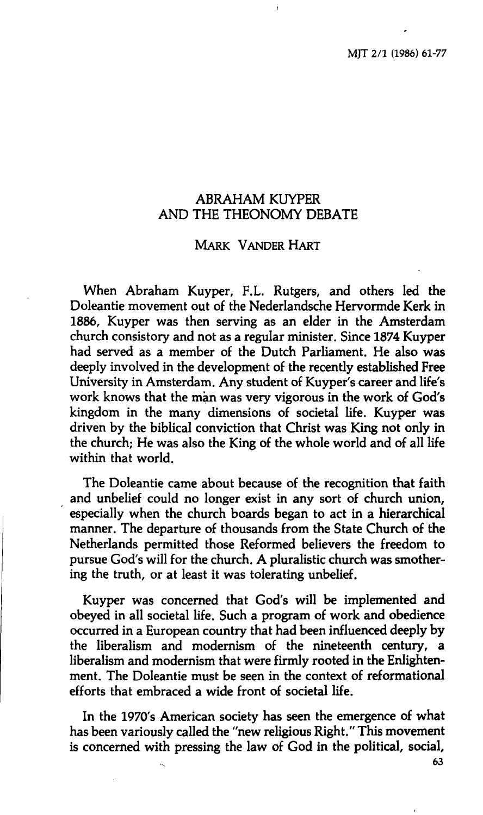# **ABRAHAM KUYPER AND THE THEONOMY DEBATE**

# **MARK VANDER HART**

**When Abraham Kuyper, F.L. Rutgers, and others led the Doleantie movement out of the Nederlandsche Hervormde Kerk in 1886, Kuyper was then serving as an elder in the Amsterdam church consistory and not as a regular minister. Since 1874 Kuyper had served as a member of the Dutch Parliament. He also was deeply involved in the development of the recently established Free University in Amsterdam. Any student of Kuyper's career and life's work knows that the man was very vigorous in the work of God's kingdom in the many dimensions of societal life. Kuyper was driven by the biblical conviction that Christ was King not only in the church; He was also the King of the whole world and of all life within that world.** 

**The Doleantie came about because of the recognition that faith and unbelief could no longer exist in any sort of church union, especially when the church boards began to act in a hierarchical manner. The departure of thousands from the State Church of the Netherlands permitted those Reformed believers the freedom to pursue God's will for the church. A pluralistic church was smothering the truth, or at least it was tolerating unbelief.** 

**Kuyper was concerned that God's will be implemented and obeyed in all societal life. Such a program of work and obedience occurred in a European country that had been influenced deeply by the liberalism and modernism of the nineteenth century, a liberalism and modernism that were firmly rooted in the Enlightenment. The Doleantie must be seen in the context of reformational efforts that embraced a wide front of societal life.** 

**In the 1970's American society has seen the emergence of what has been variously called the "new religious Right." This movement is concerned with pressing the law of God in the political, social,** 

**63**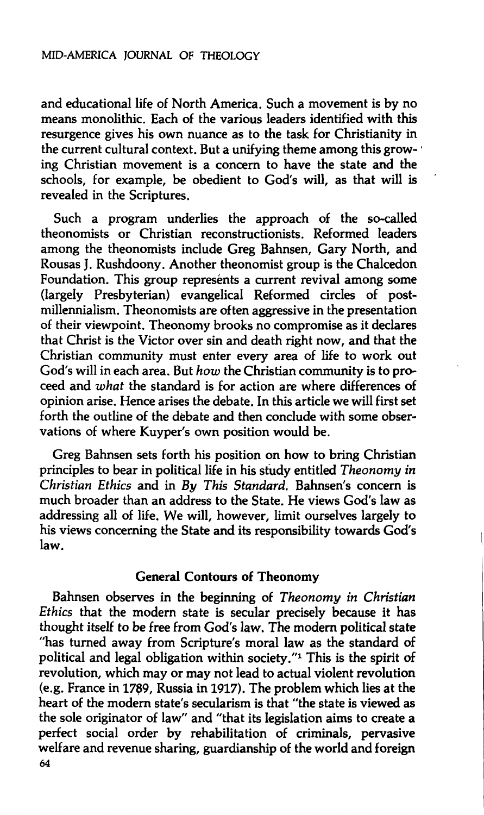**and educational life of North America. Such a movement is by no means monolithic. Each of the various leaders identified with this resurgence gives his own nuance as to the task for Christianity in the current cultural context. But a unifying theme among this growing Christian movement is a concern to have the state and the schools, for example, be obedient to God's will, as that will is revealed in the Scriptures.** 

**Such a program underlies the approach of the so-called theonomists or Christian reconstructionists. Reformed leaders among the theonomists include Greg Bahnsen, Gary North, and Rousas J. Rushdoony. Another theonomist group is the Chalcedon**  Foundation. This group represents a current revival among some **(largely Presbyterian) evangelical Reformed circles of postmillennialism. Theonomists are often aggressive in the presentation of their viewpoint. Theonomy brooks no compromise as it declares that Christ is the Victor over sin and death right now, and that the Christian community must enter every area of life to work out God's will in each area. But** *how* **the Christian community is to proceed and** *what* **the standard is for action are where differences of opinion arise. Hence arises the debate. In this article we will first set forth the outline of the debate and then conclude with some observations of where Kuyper's own position would be.** 

**Greg Bahnsen sets forth his position on how to bring Christian principles to bear in political life in his study entitled** *Theonomy in Christian Ethics* **and in** *By This Standard.* **Bahnsen's concern is much broader than an address to the State. He views God's law as addressing all of life. We will, however, limit ourselves largely to his views concerning the State and its responsibility towards God's law.** 

# **General Contours of Theonomy**

**Bahnsen observes in the beginning of** *Theonomy in Christian Ethics* **that the modern state is secular precisely because it has thought itself to be free from God's law. The modern political state "has turned away from Scripture's moral law as the standard of political and legal obligation within society."<sup>1</sup> This is the spirit of revolution, which may or may not lead to actual violent revolution (e.g. France in 1789, Russia in 1917). The problem which lies at the heart of the modern state's secularism is that "the state is viewed as the sole originator of law" and "that its legislation aims to create a perfect social order by rehabilitation of criminals, pervasive welfare and revenue sharing, guardianship of the world and foreign 64**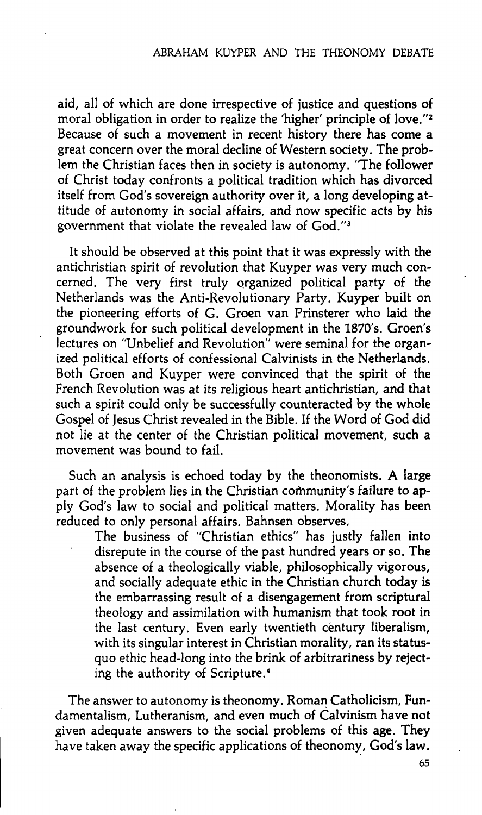**aid, all of which are done irrespective of justice and questions of moral obligation in order to realize the 'higher' principle of love."<sup>2</sup> Because of such a movement in recent history there has come a great concern over the moral decline of Western society. The problem the Christian faces then in society is autonomy. "The follower of Christ today confronts a political tradition which has divorced itself from God's sovereign authority over it, a long developing attitude of autonomy in social affairs, and now specific acts by his government that violate the revealed law of God."<sup>3</sup>**

**It should be observed at this point that it was expressly with the antichristian spirit of revolution that Kuyper was very much concerned. The very first truly organized political party of the Netherlands was the Anti-Revolutionary Party. Kuyper built on the pioneering efforts of G. Groen van Prinsterer who laid the groundwork for such political development in the 1870's. Groen's lectures on "Unbelief and Revolution" were seminal for the organized political efforts of confessional Calvinists in the Netherlands. Both Groen and Kuyper were convinced that the spirit of the French Revolution was at its religious heart antichristian, and that such a spirit could only be successfully counteracted by the whole Gospel of Jesus Christ revealed in the Bible. If the Word of God did not lie at the center of the Christian political movement, such a movement was bound to fail.** 

**Such an analysis is echoed today by the theonomists. A large part of the problem lies in the Christian community's failure to apply God's law to social and political matters. Morality has been reduced to only personal affairs. Bahnsen observes.** 

> **The business of "Christian ethics" has justly fallen into disrepute in the course of the past hundred years or so. The absence of a theologically viable, philosophically vigorous, and socially adequate ethic in the Christian church today is the embarrassing result of a disengagement from scriptural theology and assimilation with humanism that took root in the last century. Even early twentieth century liberalism, with its singular interest in Christian morality, ran its statusquo ethic head-long into the brink of arbitrariness by rejecting the authority of Scripture.<sup>4</sup>**

**The answer to autonomy is theonomy. Roman Catholicism, Fundamentalism, Lutheranism, and even much of Calvinism have not given adequate answers to the social problems of this age. They have taken away the specific applications of theonomy, God's law.** 

**65**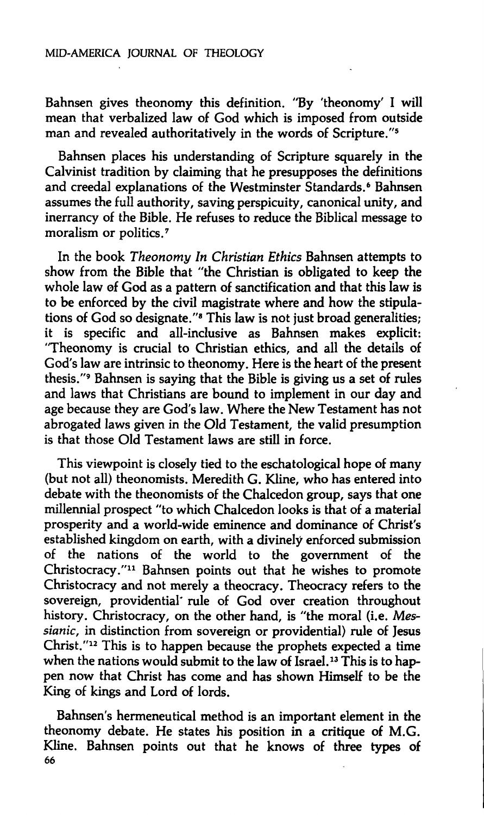#### **MID-AMERICA JOURNAL OF THEOLOGY**

**Bahnsen gives theonomy this definition. "By 'theonomy' I will mean that verbalized law of God which is imposed from outside man and revealed authoritatively in the words of Scripture."<sup>5</sup>**

**Bahnsen places his understanding of Scripture squarely in the Calvinist tradition by claiming that he presupposes the definitions and creedal explanations of the Westminster Standards.<sup>6</sup> Bahnsen assumes the full authority, saving perspicuity, canonical unity, and inerrancy of the Bible. He refuses to reduce the Biblical message to moralism or politics.<sup>7</sup>**

**In the book** *Theonomy In Christian Ethics* **Bahnsen attempts to show from the Bible that "the Christian is obligated to keep the whole law of God as a pattern of sanctification and that this law is to be enforced by the civil magistrate where and how the stipulations of God so designate."<sup>8</sup> This law is not just broad generalities; it is specific and all-inclusive as Bahnsen makes explicit: "Theonomy is crucial to Christian ethics, and all the details of God's law are intrinsic to theonomy. Here is the heart of the present thesis."<sup>9</sup> Bahnsen is saying that the Bible is giving us a set of rules and laws that Christians are bound to implement in our day and age because they are God's law. Where the New Testament has not abrogated laws given in the Old Testament, the valid presumption is that those Old Testament laws are still in force.** 

**This viewpoint is closely tied to the eschatological hope of many (but not all) theonomists. Meredith G. Kline, who has entered into debate with the theonomists of the Chalcedon group, says that one millennial prospect "to which Chalcedon looks is that of a material prosperity and a world-wide eminence and dominance of Christ's established kingdom on earth, with a divinely enforced submission of the nations of the world to the government of the Christocracy."<sup>11</sup> Bahnsen points out that he wishes to promote Christocracy and not merely a theocracy. Theocracy refers to the sovereign, providential· rule of God over creation throughout history. Christocracy, on the other hand, is "the moral (i.e.** *Messianic,* **in distinction from sovereign or providential) rule of Jesus Christ."<sup>12</sup> This is to happen because the prophets expected a time when the nations would submit to the law of Israel.<sup>13</sup> This is to happen now that Christ has come and has shown Himself to be the King of kings and Lord of lords.** 

**Bahnsen's hermeneutical method is an important element in the theonomy debate. He states his position in a critique of M.G. Kline. Bahnsen points out that he knows of three types of 66**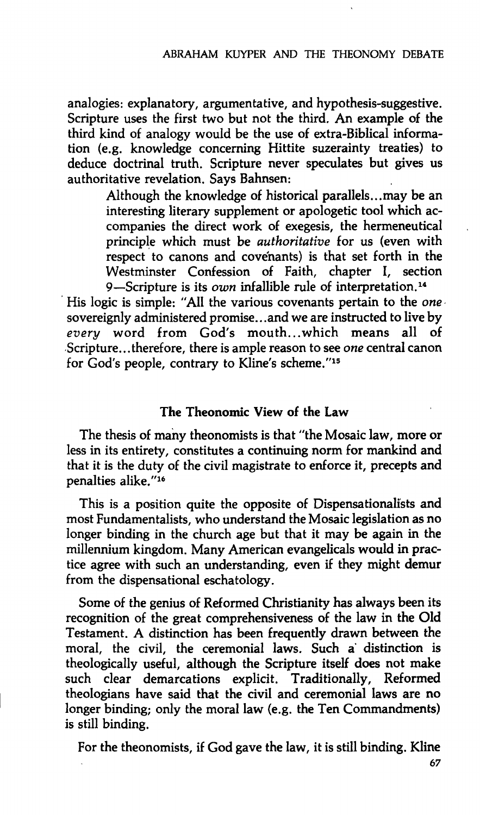**analogies: explanatory, argumentative, and hypothesis-suggestive. Scripture uses the first two but not the third. An example of the third kind of analogy would be the use of extra-Biblical information (e.g. knowledge concerning Hittite suzerainty treaties) to deduce doctrinal truth. Scripture never speculates but gives us authoritative revelation. Says Bahnsen:** 

> **Although the knowledge of historical parallels...may be an interesting literary supplement or apologetic tool which accompanies the direct work of exegesis, the hermeneutical principle which must be** *authoritative* **for us (even with respect to canons and covenants) is that set forth in the Westminster Confession of Faith, chapter I, section 9—Scripture is its** *own* **infallible rule of interpretation.<sup>14</sup>**

**His logic is simple: "All the various covenants pertain to the** *one*  **sovereignly administered promise.. .and we are instructed to live by**  *every* **word from God's mouth... which means all of Scripture...therefore, there is ample reason to see** *one* **central canon for God's people, contrary to Kline's scheme."<sup>15</sup>**

## **The Theonomic View of the Law**

**The thesis of many theonomists is that "the Mosaic law, more or less in its entirety, constitutes a continuing norm for mankind and that it is the duty of the civil magistrate to enforce it, precepts and penalties alike."<sup>16</sup>**

**This is a position quite the opposite of Dispensationalists and most Fundamentalists, who understand the Mosaic legislation as no longer binding in the church age but that it may be again in the millennium kingdom. Many American evangelicals would in practice agree with such an understanding, even if they might demur from the dispensational eschatology.** 

**Some of the genius of Reformed Christianity has always been its recognition of the great comprehensiveness of the law in the Old Testament. A distinction has been frequently drawn between the moral, the civil, the ceremonial laws. Such a' distinction is theologically useful, although the Scripture itself does not make such clear demarcations explicit. Traditionally, Reformed theologians have said that the civil and ceremonial laws are no longer binding; only the moral law (e.g. the Ten Commandments) is still binding.** 

**For the theonomists, if God gave the law, it is still binding. Kline**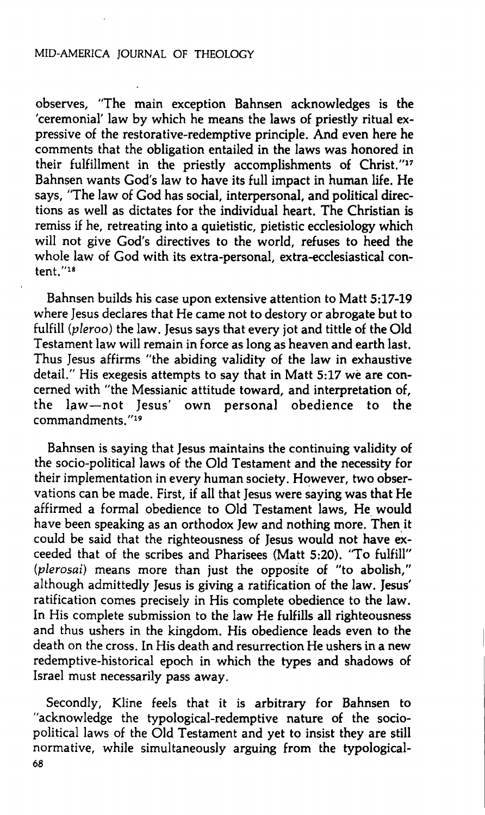#### **MID-AMERICA JOURNAL OF THEOLOGY**

**observes, "The main exception Bahnsen acknowledges is the 'ceremonial' law by which he means the laws of priestly ritual expressive of the restorative-redemptive principle. And even here he comments that the obligation entailed in the laws was honored in their fulfillment in the priestly accomplishments of Christ."<sup>17</sup> Bahnsen wants God's law to have its full impact in human life. He says, "The law of God has social, interpersonal, and political directions as well as dictates for the individual heart. The Christian is remiss if he, retreating into a quietistic, pietistic ecclesiology which will not give God's directives to the world, refuses to heed the whole law of God with its extra-personal, extra-ecclesiastical content."<sup>18</sup>**

**Bahnsen builds his case upon extensive attention to Matt 5:17-19 where Jesus declares that He came not to destory or abrogate but to fulfill** *(pleroo)* **the law. Jesus says that every jot and tittle of the Old Testament law will remain in force as long as heaven and earth last. Thus Jesus affirms "the abiding validity of the law in exhaustive detail." His exegesis attempts to say that in Matt 5:17 wè are concerned with "the Messianic attitude toward, and interpretation of, the Law—not Jesus' own personal obedience to the commandments. "<sup>19</sup>**

**Bahnsen is saying that Jesus maintains the continuing validity of the socio-political laws of the Old Testament and the necessity for their implementation in every human society. However, two observations can be made. First, if all that Jesus were saying was that He affirmed a formal obedience to Old Testament laws. He would have been speaking as an orthodox Jew and nothing more. Then it could be said that the righteousness of Jesus would not have exceeded that of the scribes and Pharisees (Matt 5:20). "To fulfill"**  *{pierosai)* **means more than just the opposite of "to abolish," although admittedly Jesus is giving a ratification of the law. Jesus' ratification comes precisely in His complete obedience to the law. In His complete submission to the law He fulfills all righteousness and thus ushers in the kingdom. His obedience leads even to the death on the cross. In His death and resurrection He ushers in a new redemptive-historical epoch in which the types and shadows of Israel must necessarily pass away.** 

**Secondly, Kline feels that it is arbitrary for Bahnsen to "acknowledge the typological-redemptive nature of the sociopolitical laws of the Old Testament and yet to insist they are still normative, while simultaneously arguing from the typological-68**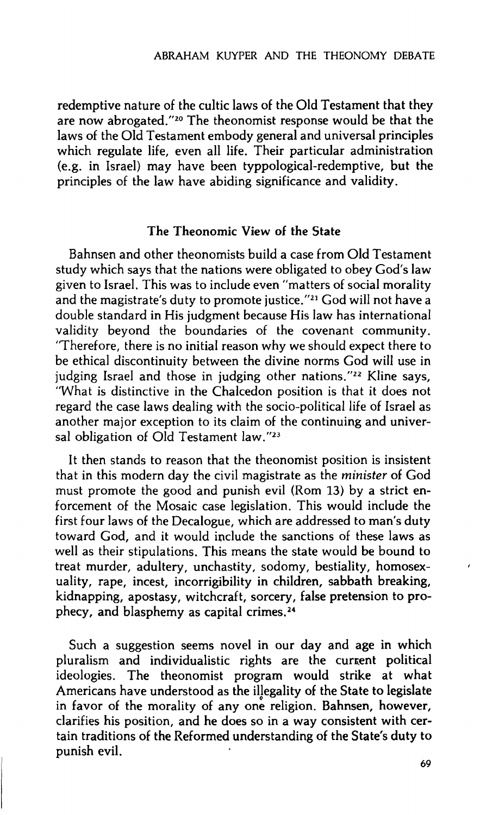redemptive nature of the cultic laws of the Old Testament that they are now abrogated."<sup>20</sup> The theonomist response would be that the laws of the Old Testament embody general and universal principles which regulate life, even all life. Their particular administration (e.g. in Israel) may have been typpological-redemptive, but the principles of the law have abiding significance and validity.

#### **The Theonomic View of the State**

Bahnsen and other theonomists build a case from Old Testament study which says that the nations were obligated to obey God's law given to Israel. This was to include even "matters of social morality and the magistrate's duty to promote justice."<sup>21</sup> God will not have a double standard in His judgment because His law has international validity beyond the boundaries of the covenant community. "Therefore, there is no initial reason why we should expect there to be ethical discontinuity between the divine norms God will use in judging Israel and those in judging other nations."<sup>22</sup> Kline says, "What is distinctive in the Chalcedon position is that it does not regard the case laws dealing with the socio-political life of Israel as another major exception to its claim of the continuing and universal obligation of Old Testament law."<sup>23</sup>

It then stands to reason that the theonomist position is insistent that in this modern day the civil magistrate as the *minister* of God must promote the good and punish evil (Rom 13) by a strict enforcement of the Mosaic case legislation. This would include the first four laws of the Decalogue, which are addressed to man's duty toward God, and it would include the sanctions of these laws as well as their stipulations. This means the state would be bound to treat murder, adultery, unchastity, sodomy, bestiality, homosexuality, rape, incest, incorrigibility in children, sabbath breaking, kidnapping, apostasy, witchcraft, sorcery, false pretension to prophecy, and blasphemy as capital crimes.<sup>24</sup>

Such a suggestion seems novel in our day and age in which pluralism and individualistic rights are the current political ideologies. The theonomist program would strike at what Americans have understood as the illegality of the State to legislate in favor of the morality of any one religion. Bahnsen, however, clarifies his position, and he does so in a way consistent with certain traditions of the Reformed understanding of **the State's duty to**  punish evil.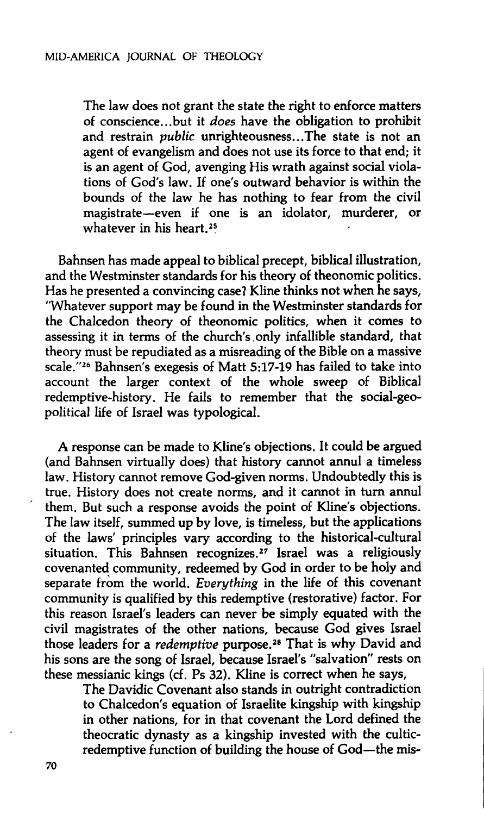**The law does not grant the state the right to enforce matters of conscience...but it** *does* **have the obligation to prohibit and restrain** *public* **unrighteousness...The state is not an agent of evangelism and does not use its force to that end; it is an agent of God, avenging His wrath against social violations of God's law. If one's outward behavior is within the bounds of the law he has nothing to fear from the civil magistrate—even if one is an idolator, murderer, or whatever in his heart.<sup>25</sup>**

**Bahnsen has made appeal to biblical precept, biblical illustration, and the Westminster standards for his theory of theonomic politics. Has he presented a convincing case? Kline thinks not when he says, "Whatever support may be found in the Westminster standards for the Chalcedon theory of theonomic politics, when it comes to assessing it in terms of the church's.only infallible standard, that theory must be repudiated as a misreading of the Bible on a massive scale."<sup>26</sup> Bahnsen's exegesis of Matt 5:17-19 has failed to take into account the larger context of the whole sweep of Biblical redemptive-history. He fails to remember that the social-geopolitical life of Israel was typological.** 

**A response can be made to Kline's objections. It could be argued (and Bahnsen virtually does) that history cannot annul a timeless law. History cannot remove God-given norms. Undoubtedly this is true. History does not create norms, and it cannot in turn annul them. But such a response avoids the point of Kline's objections. The law itself, summed up by love, is timeless, but the applications of the laws' principles vary according to the historical-cultural situation. This Bahnsen recognizes.<sup>27</sup> Israel was a religiously covenanted community, redeemed by God in order to be holy and separate from the world.** *Everything* **in the life of this covenant community is qualified by this redemptive (restorative) factor. For this reason Israel's leaders can never be simply equated with the civil magistrates of the other nations, because God gives Israel those leaders for a** *redemptive* **purpose.<sup>28</sup> That is why David and his sons are the song of Israel, because Israel's "salvation" rests on these messianic kings (cf. Ps 32). Kline is correct when he says.** 

**The Davidic Covenant also stands in outright contradiction to Chalcedon's equation of Israelite kingship with kingship in other nations, for in that covenant the Lord defined the theocratic dynasty as a kingship invested with the culticredemptive function of building the house of God—the mis-**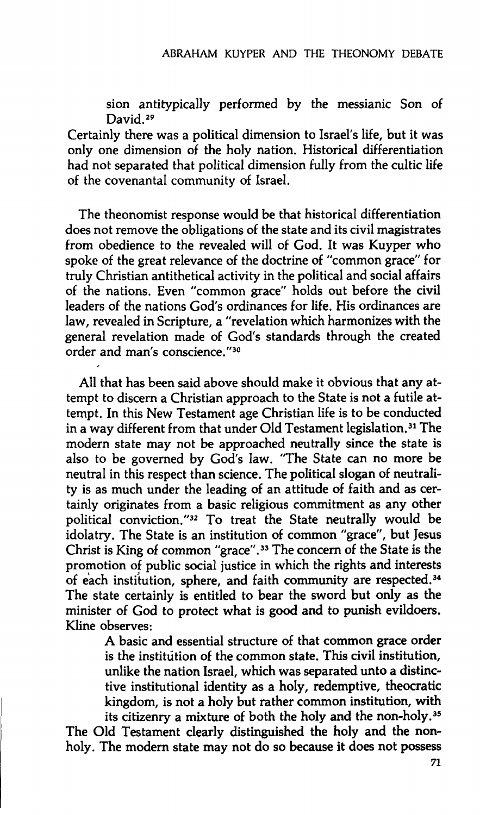**sion antitypically performed by the messianic Son of David.<sup>29</sup>**

**Certainly there was a political dimension to Israel's life, but it was only one dimension of the holy nation. Historical differentiation had not separated that political dimension fully from the cultic life of the covenantal community of Israel.** 

**The theonomist response would be that historical differentiation does not remove the obligations of the state and its civil magistrates from obedience to the revealed will of God. It was Kuyper who spoke of the great relevance of the doctrine of "common grace" for truly Christian antithetical activity in the political and social affairs of the nations. Even "common grace" holds out before the civil leaders of the nations God's ordinances for life. His ordinances are law, revealed in Scripture, a "revelation which harmonizes with the general revelation made of God's standards through the created order and man's conscience."<sup>30</sup>**

**All that has been said above should make it obvious that any attempt to discern a Christian approach to the State is not a futile attempt. In this New Testament age Christian life is to be conducted in a way different from that under Old Testament legislation.<sup>31</sup> The modern state may not be approached neutrally since the state is also to be governed by God's law. "The State can no more be neutral in this respect than science. The political slogan of neutrality is as much under the leading of an attitude of faith and as certainly originates from a basic religious commitment as any other political conviction."<sup>32</sup> To treat the State neutrally would be idolatry. The State is an institution of common "grace", but Jesus Christ is King of common "grace".<sup>33</sup> The concern of the State is the promotion of public social justice in which the rights and interests of each institution, sphere, and faith community are respected.<sup>34</sup> The state certainly is entitled to bear the sword but only as the minister of God to protect what is good and to punish evildoers. Kline observes:** 

> **A basic and essential structure of that common grace order is the institution of the common state. This civil institution, unlike the nation Israel, which was separated unto a distinctive institutional identity as a holy, redemptive, theocratic kingdom, is not a holy but rather common institution, with its citizenry a mixture of both the holy and the non-holy.<sup>35</sup>**

**The Old Testament clearly distinguished the holy and the nonholy. The modern state may not do so because it does not possess**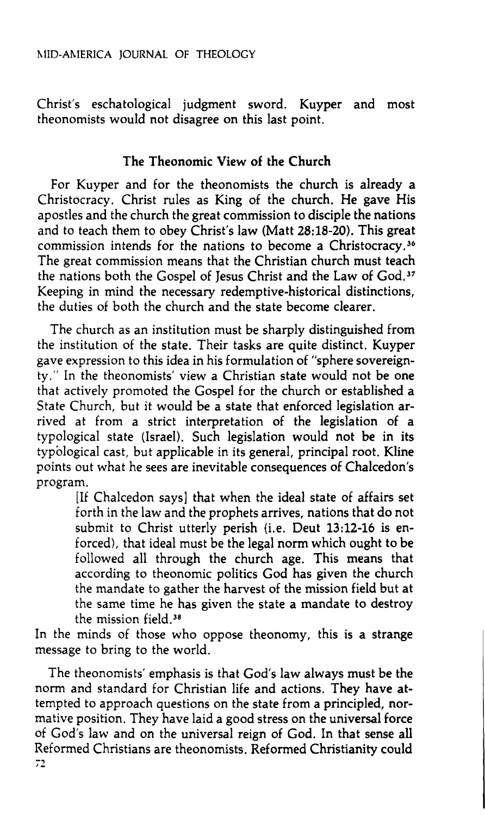Christ's eschatological judgment sword. Kuyper and most theonomists would not disagree on this last point.

# The **Theonomic View of the Church**

For Kuyper and for the theonomists the church is already a Christocracy. Christ rules as King of the church. He gave His apostles and the church the great commission to disciple the nations and to teach them to obey Christ's law (Matt 28:18-20). This great commission intends for the nations to become a Christocracy.<sup>36</sup> The great commission means that the Christian church must teach the nations both the Gospel of Jesus Christ and the Law of God.<sup>37</sup> Keeping in mind the necessary redemptive-historical distinctions, the duties of both the church and the state become clearer.

The church as an institution must be sharply distinguished from the institution of the state. Their tasks are quite distinct. Kuyper gave expression to this idea in his formulation of "sphere sovereignty." In the theonomists' view a Christian state would not be one that actively promoted the Gospel for the church or established a State Church, but it would be a state that enforced legislation arrived at from a strict interpretation of the legislation of a typological state (Israel). Such legislation would not be in its typological cast, but applicable in its general, principal root. Kline points out what he sees are inevitable consequences of Chalcedon's program.

[If Chalcedon says] that when the ideal state of affairs set forth in the law and the prophets arrives, nations that do not submit to Christ utterly perish (i.e. Deut 13:12-16 is enforced), that ideal must be the legal norm which ought to be followed all through the church age. This means that according to theonomic politics God has given the church the mandate to gather the harvest of the mission field but at the same time he has given the state a mandate to destroy the mission field.<sup>38</sup>

In the minds of those who oppose theonomy, this is a strange message to bring to the world.

The theonomists' emphasis is that God's law always must be the norm and standard for Christian life and actions. They have attempted to approach questions on the state from a principled, normative position. They have laid a good stress on the universal force of God's law and on the universal reign of God. In that sense all Reformed Christians are theonomists. Reformed Christianity could  $72$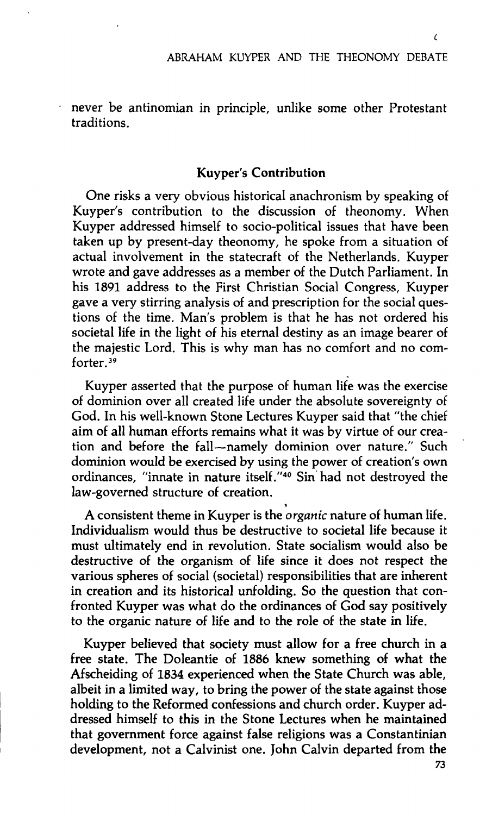$\epsilon$ 

never be antinomian in principle, unlike some other Protestant traditions.

#### **Kuyper's Contribution**

One risks a very obvious historical anachronism by speaking of Kuyper's contribution to the discussion of theonomy. When Kuyper addressed himself to socio-political issues that have been taken up by present-day theonomy, he spoke from a situation of actual involvement in the statecraft of the Netherlands. Kuyper wrote and gave addresses as a member of the Dutch Parliament. In his 1891 address to the First Christian Social Congress, Kuyper gave a very stirring analysis of and prescription for the social questions of the time. Man's problem is that he has not ordered his societal life in the light of his eternal destiny as an image bearer of the majestic Lord. This is why man has no comfort and no comforter.<sup>39</sup>

Kuyper asserted that the purpose of human life was the exercise of dominion over all created life under the absolute sovereignty of God. In his well-known Stone Lectures Kuyper said that "the chief aim of all human efforts remains what it was by virtue of our creation and before the fall—namely dominion over nature." Such dominion would be exercised by using the power of creation's own ordinances, "innate in nature itself."<sup>40</sup> Sin had not destroyed the law-governed structure of creation.

A consistent theme in Kuyper is the *organic* nature of human life. Individualism would thus be destructive to societal life because it must ultimately end in revolution. State socialism would also be destructive of the organism of life since it does not respect the various spheres of social (societal) responsibilities that are inherent in creation and its historical unfolding. So the question that confronted Kuyper was what do the ordinances of God say positively to the organic nature of life and to the role of the state in life.

Kuyper believed that society must allow for a free church in a free state. The Doleantie of 1886 knew something of what the Afscheiding of 1834 experienced when the State Church was able, albeit in a limited way, to bring the power of the state against those holding to the Reformed confessions and church order. Kuyper addressed himself to this in the Stone Lectures when he maintained that government force against false religions was a Constantinian development, not a Calvinist one. John Calvin departed from the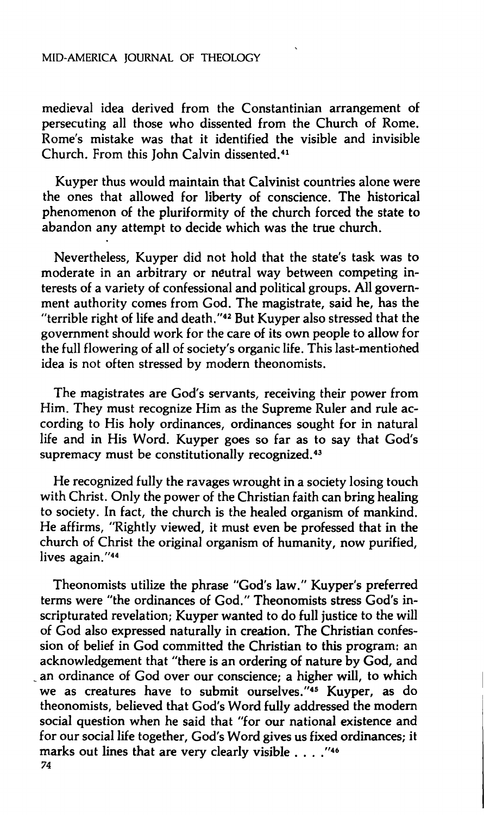# **MID-AMERICA JOURNAL OF THEOLOGY**

**medieval idea derived from the Constantinian arrangement of persecuting all those who dissented from the Church of Rome. Rome's mistake was that it identified the visible and invisible Church. From this John Calvin dissented.<sup>41</sup>**

**Kuyper thus would maintain that Calvinist countries alone were the ones that allowed for liberty of conscience. The historical phenomenon of the pluriformity of the church forced the state to abandon any attempt to decide which was the true church.** 

**Nevertheless, Kuyper did not hold that the state's task was to moderate in an arbitrary or neutral way between competing interests of a variety of confessional and political groups. All government authority comes from God. The magistrate, said he, has the "terrible right of life and death."<sup>42</sup> But Kuyper also stressed that the government should work for the care of its own people to allow for the full flowering of all of society's organic life. This last-mentioned idea is not often stressed by modern theonomists.** 

**The magistrates are God's servants, receiving their power from Him. They must recognize Him as the Supreme Ruler and rule according to His holy ordinances, ordinances sought for in natural life and in His Word. Kuyper goes so far as to say that God's supremacy must be constitutionally recognized.<sup>43</sup>**

**He recognized fully the ravages wrought in a society losing touch with Christ. Only the power of the Christian faith can bring healing to society. In fact, the church is the healed organism of mankind. He affirms, "Rightly viewed, it must even be professed that in the church of Christ the original organism of humanity, now purified, lives again."<sup>44</sup>**

**Theonomists utilize the phrase "God's law." Kuyper's preferred terms were "the ordinances of God." Theonomists stress God's inscripturated revelation; Kuyper wanted to do full justice to the will of God also expressed naturally in creation. The Christian confession of belief in God committed the Christian to this program: an acknowledgement that "there is an ordering of nature by God, and an ordinance of God over our conscience; a higher will, to which we as creatures have to submit ourselves."<sup>45</sup> Kuyper, as do theonomists, believed that God's Word fully addressed the modern social question when he said that "for our national existence and for our social life together, God's Word gives us fixed ordinances; it marks out lines that are very clearly visible . . . ."<sup>46</sup> 74**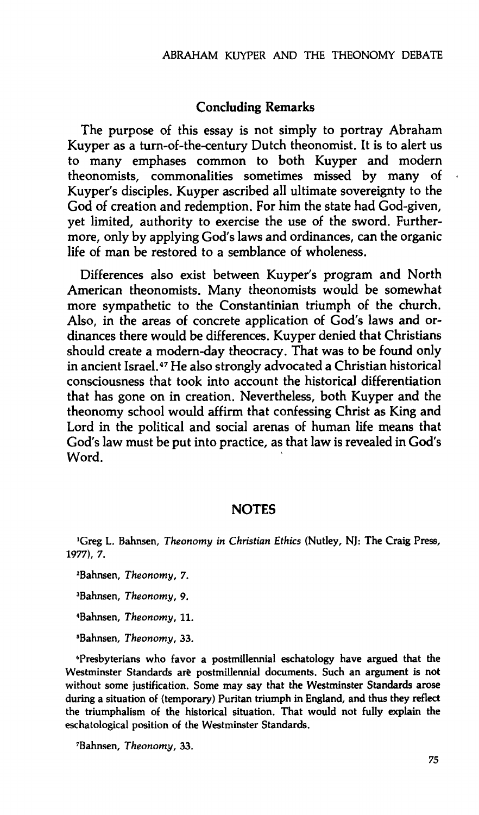## **Concluding Remarks**

The purpose of this essay is not simply to portray Abraham Kuyper as a turn-of-the-century Dutch theonomist. It is to alert us to many emphases common to both Kuyper and modern theonomists, commonalities sometimes missed by many of Kuyper's disciples. Kuyper ascribed all ultimate sovereignty to the God of creation and redemption. For him the state had God-given, yet limited, authority to exercise the use of the sword. Furthermore, only by applying God's laws and ordinances, can the organic life of man be restored to a semblance of wholeness.

Differences also exist between Kuyper's program and North American theonomists. Many theonomists would be somewhat more sympathetic to the Constantinian triumph of the church. Also, in the areas of concrete application of God's laws and ordinances there would be differences. Kuyper denied that Christians should create a modern-day theocracy. That was to be found only in ancient Israel.<sup>47</sup> He also strongly advocated a Christian historical consciousness that took into account the historical differentiation that has gone on in creation. Nevertheless, both Kuyper and the theonomy school would affirm that confessing Christ as King and Lord in the political and social arenas of human life means that God's law must be put into practice, as that law is revealed in God's Word.

# **NOTES**

<sup>1</sup>Greg L. Bahnsen, *Theonomy in Christian Ethics* (Nutley, NJ: The Craig Press, **1977), 7.** 

**<sup>2</sup>Bahnsen,** *Theonomy,* **7.** 

**<sup>3</sup>Bahnsen,** *Theonomy,* **9.** 

**<sup>4</sup>Bahnsen,** *Theonomy,* **11.** 

**<sup>5</sup>Bahnsen,** *Theonomy,* **33.** 

**<sup>6</sup>Presbyterians who favor a postmillennial eschatology have argued that the Westminster Standards are postmillennial documents. Such an argument is not without some justification. Some may say that the Westminster Standards arose during a situation of (temporary) Puritan triumph in England, and thus they reflect the triumphalism of the historical situation. That would not fully explain the eschatological position of the Westminster Standards.** 

**<sup>7</sup>Bahnsen,** *Theonomy,* **33.**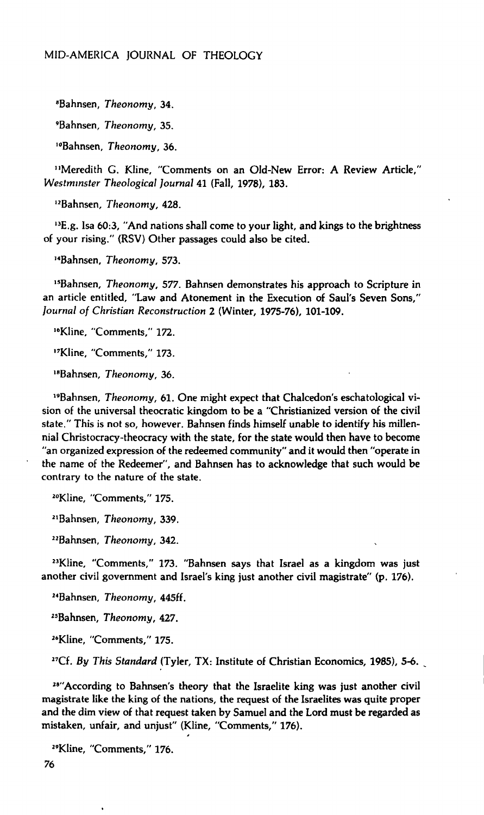**"Bahnsen,** *Theonomy,* **34.** 

**'Bahnsen,** *Theonomy,* **35.** 

**^Bahnsen,** *Theonomy,* **36.** 

**"Meredith G. Kline, "Comments on an Old-New Error: A Review Article,"**  *Westminster Theological Journal* **41 (Fall, 1978), 183.** 

**<sup>12</sup>Bahnsen,** *Theonomy,* **428.** 

**<sup>13</sup>E.g. Isa 60:3, "And nations shall come to your light, and kings to the brightness of your rising." (RSV) Other passages could also be cited.** 

**<sup>14</sup>Bahnsen,** *Theonomy,* **573.** 

**<sup>15</sup>Bahnsen,** *Theonomy,* **577. Bahnsen demonstrates his approach to Scripture in an article entitled, "Law and Atonement in the Execution of Saul's Seven Sons,"**  *Journal of Christian Reconstruction 2* **(Winter, 1975-76), 101-109.** 

**<sup>16</sup>Kline, "Comments," 172.** 

**<sup>17</sup>Kline, "Comments," 173.** 

**<sup>18</sup>Bahnsen,** *Theonomy,* **36.** 

**<sup>19</sup>Bahnsen,** *Theonomy,* **61. One might expect that Chalcedon's eschatological vision of the universal theocratic kingdom to be a "Christianized version of the civil state." This is not so, however. Bahnsen finds himself unable to identify his millennial Christocracy-theocracy with the state, for the state would then have to become "an organized expression of the redeemed community" and it would then "operate in the name of the Redeemer", and Bahnsen has to acknowledge that such would be contrary to the nature of the state.** 

**<sup>20</sup>Kline, "Comments," 175.** 

**<sup>21</sup>Bahnsen,** *Theonomy,* **339.** 

**"Bahnsen,** *Theonomy,* **342.** 

**"Kline, "Comments," 173. "Bahnsen says that Israel as a kingdom was just another civil government and Israel's king just another civil magistrate" (p. 176).** 

**"Bahnsen,** *Theonomy,* **445ff.** 

**"Bahnsen,** *Theonomy, 427.* 

**"Kline, "Comments," 175.** 

**<sup>27</sup>Cf.** *By This Standard* **(Tyler, TX: Institute of Christian Economics, 1985), 5-6.** 

<sup>28"</sup> According to Bahnsen's theory that the Israelite king was just another civil **magistrate like the king of the nations, the request of the Israelites was quite proper and the dim view of that request taken by Samuel and the Lord must be regarded as mistaken, unfair, and unjust" (Kline, "Comments," 176).** 

**"Kline, "Comments," 176.** 

**76**